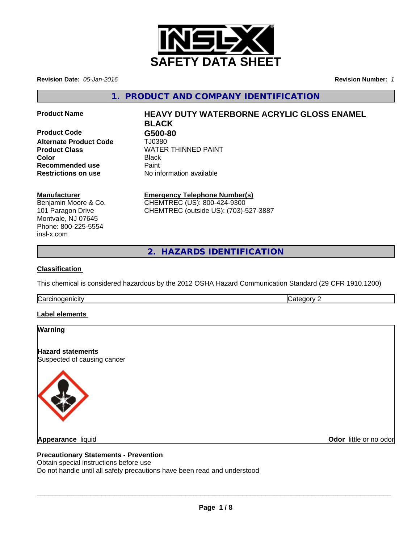

**Revision Date:** *05-Jan-2016* **Revision Number:** *1*

**1. PRODUCT AND COMPANY IDENTIFICATION**

**Product Code G500-80 Alternate Product Code** TJ0380 **Recommended use** Paint<br> **Restrictions on use** Mo information available **Restrictions on use** 

## **Product Name HEAVY DUTY WATERBORNE ACRYLIC GLOSS ENAMEL BLACK**

**Product Class WATER THINNED PAINT Color** Black

#### **Manufacturer**

Benjamin Moore & Co. 101 Paragon Drive Montvale, NJ 07645 Phone: 800-225-5554 insl-x.com

### **Emergency Telephone Number(s)**

CHEMTREC (US): 800-424-9300 CHEMTREC (outside US): (703)-527-3887

**2. HAZARDS IDENTIFICATION**

#### **Classification**

This chemical is considered hazardous by the 2012 OSHA Hazard Communication Standard (29 CFR 1910.1200)

**Carcinogenicity** Carcinogenicity **Category 2** 

#### **Label elements**

#### **Warning**

**Hazard statements** Suspected of causing cancer



**Appearance** liquid

**Odor** little or no odor

#### **Precautionary Statements - Prevention**

Obtain special instructions before use

Do not handle until all safety precautions have been read and understood

 $\overline{\phantom{a}}$  ,  $\overline{\phantom{a}}$  ,  $\overline{\phantom{a}}$  ,  $\overline{\phantom{a}}$  ,  $\overline{\phantom{a}}$  ,  $\overline{\phantom{a}}$  ,  $\overline{\phantom{a}}$  ,  $\overline{\phantom{a}}$  ,  $\overline{\phantom{a}}$  ,  $\overline{\phantom{a}}$  ,  $\overline{\phantom{a}}$  ,  $\overline{\phantom{a}}$  ,  $\overline{\phantom{a}}$  ,  $\overline{\phantom{a}}$  ,  $\overline{\phantom{a}}$  ,  $\overline{\phantom{a}}$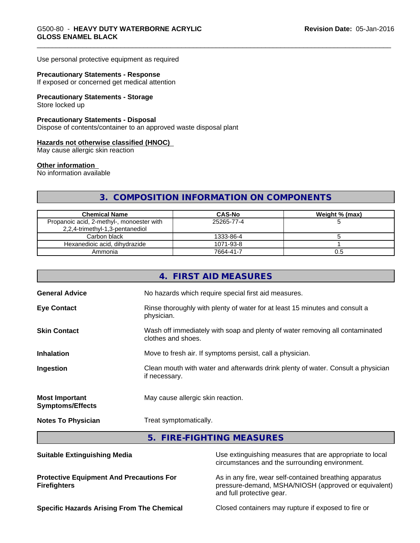Use personal protective equipment as required

#### **Precautionary Statements - Response**

If exposed or concerned get medical attention

# **Precautionary Statements - Storage**

Store locked up

#### **Precautionary Statements - Disposal**

Dispose of contents/container to an approved waste disposal plant

#### **Hazards not otherwise classified (HNOC)**

May cause allergic skin reaction

#### **Other information**

No information available

## **3. COMPOSITION INFORMATION ON COMPONENTS**

| <b>Chemical Name</b>                      | <b>CAS-No</b> | Weight % (max) |
|-------------------------------------------|---------------|----------------|
| Propanoic acid, 2-methyl-, monoester with | 25265-77-4    |                |
| 2,2,4-trimethyl-1,3-pentanediol           |               |                |
| Carbon black                              | 1333-86-4     |                |
| Hexanedioic acid, dihydrazide             | 1071-93-8     |                |
| Ammonia                                   | 7664-41-7     | U.C            |

|                                                  | 4. FIRST AID MEASURES                                                                              |
|--------------------------------------------------|----------------------------------------------------------------------------------------------------|
| <b>General Advice</b>                            | No hazards which require special first aid measures.                                               |
| <b>Eye Contact</b>                               | Rinse thoroughly with plenty of water for at least 15 minutes and consult a<br>physician.          |
| <b>Skin Contact</b>                              | Wash off immediately with soap and plenty of water removing all contaminated<br>clothes and shoes. |
| <b>Inhalation</b>                                | Move to fresh air. If symptoms persist, call a physician.                                          |
| Ingestion                                        | Clean mouth with water and afterwards drink plenty of water. Consult a physician<br>if necessary.  |
| <b>Most Important</b><br><b>Symptoms/Effects</b> | May cause allergic skin reaction.                                                                  |
| <b>Notes To Physician</b>                        | Treat symptomatically.                                                                             |
|                                                  | 5. FIRE-FIGHTING MEASURES                                                                          |

| <b>Suitable Extinguishing Media</b>                                    | Use extinguishing measures that are appropriate to local<br>circumstances and the surrounding environment.                                   |
|------------------------------------------------------------------------|----------------------------------------------------------------------------------------------------------------------------------------------|
| <b>Protective Equipment And Precautions For</b><br><b>Firefighters</b> | As in any fire, wear self-contained breathing apparatus<br>pressure-demand, MSHA/NIOSH (approved or equivalent)<br>and full protective gear. |
| <b>Specific Hazards Arising From The Chemical</b>                      | Closed containers may rupture if exposed to fire or                                                                                          |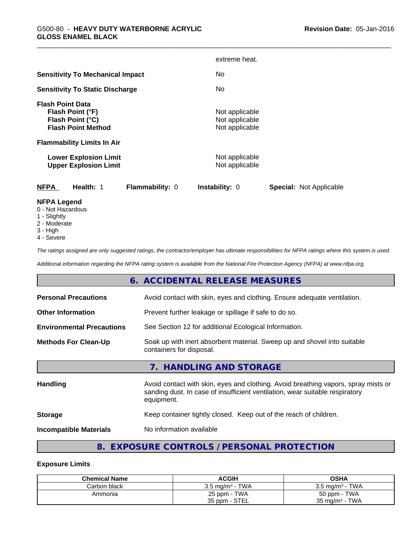|                                                                                                                                                                                                   | extreme heat.                                                                          |
|---------------------------------------------------------------------------------------------------------------------------------------------------------------------------------------------------|----------------------------------------------------------------------------------------|
| <b>Sensitivity To Mechanical Impact</b>                                                                                                                                                           | No.                                                                                    |
| <b>Sensitivity To Static Discharge</b>                                                                                                                                                            | No.                                                                                    |
| <b>Flash Point Data</b><br>Flash Point (°F)<br>Flash Point (°C)<br><b>Flash Point Method</b><br><b>Flammability Limits In Air</b><br><b>Lower Explosion Limit</b><br><b>Upper Explosion Limit</b> | Not applicable<br>Not applicable<br>Not applicable<br>Not applicable<br>Not applicable |
| <b>NFPA</b><br>Health: 1<br>Flammability: 0<br><b>NFPA Legend</b>                                                                                                                                 | Instability: 0<br><b>Special: Not Applicable</b>                                       |

- 0 Not Hazardous
- 1 Slightly
- 2 Moderate
- 3 High
- 4 Severe

*The ratings assigned are only suggested ratings, the contractor/employer has ultimate responsibilities for NFPA ratings where this system is used.*

*Additional information regarding the NFPA rating system is available from the National Fire Protection Agency (NFPA) at www.nfpa.org.*

## **6. ACCIDENTAL RELEASE MEASURES**

| <b>Personal Precautions</b>      | Avoid contact with skin, eyes and clothing. Ensure adequate ventilation.                                                                                                         |
|----------------------------------|----------------------------------------------------------------------------------------------------------------------------------------------------------------------------------|
| <b>Other Information</b>         | Prevent further leakage or spillage if safe to do so.                                                                                                                            |
| <b>Environmental Precautions</b> | See Section 12 for additional Ecological Information.                                                                                                                            |
| <b>Methods For Clean-Up</b>      | Soak up with inert absorbent material. Sweep up and shovel into suitable<br>containers for disposal.                                                                             |
|                                  | 7. HANDLING AND STORAGE                                                                                                                                                          |
| Handling                         | Avoid contact with skin, eyes and clothing. Avoid breathing vapors, spray mists or<br>sanding dust. In case of insufficient ventilation, wear suitable respiratory<br>equipment. |
| <b>Storage</b>                   | Keep container tightly closed. Keep out of the reach of children.                                                                                                                |
| <b>Incompatible Materials</b>    | No information available                                                                                                                                                         |
|                                  |                                                                                                                                                                                  |

## **8. EXPOSURE CONTROLS / PERSONAL PROTECTION**

#### **Exposure Limits**

| <b>Chemical Name</b> | <b>ACGIH</b>               | OSHA                       |
|----------------------|----------------------------|----------------------------|
| Carbon black         | $3.5 \text{ ma/m}^3$ - TWA | $3.5 \text{ ma/m}^3$ - TWA |
| Ammonia              | 25 ppm - TWA               | 50 ppm - TWA               |
|                      | 35 ppm - STEL              | $35 \text{ mg/m}^3$ - TWA  |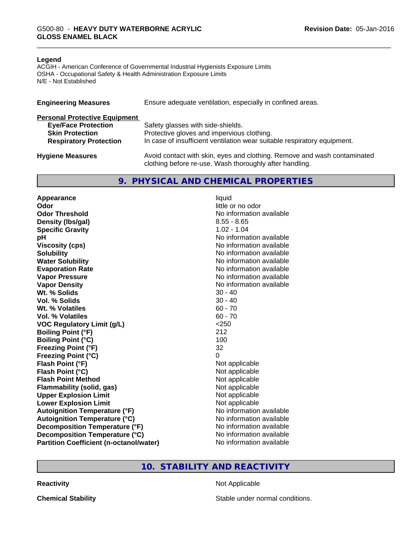#### **Legend**

ACGIH - American Conference of Governmental Industrial Hygienists Exposure Limits OSHA - Occupational Safety & Health Administration Exposure Limits N/E - Not Established

| <b>Engineering Measures</b>          | Ensure adequate ventilation, especially in confined areas.                                                                          |
|--------------------------------------|-------------------------------------------------------------------------------------------------------------------------------------|
| <b>Personal Protective Equipment</b> |                                                                                                                                     |
| <b>Eye/Face Protection</b>           | Safety glasses with side-shields.                                                                                                   |
| <b>Skin Protection</b>               | Protective gloves and impervious clothing.                                                                                          |
| <b>Respiratory Protection</b>        | In case of insufficient ventilation wear suitable respiratory equipment.                                                            |
| <b>Hygiene Measures</b>              | Avoid contact with skin, eyes and clothing. Remove and wash contaminated<br>clothing before re-use. Wash thoroughly after handling. |

#### **9. PHYSICAL AND CHEMICAL PROPERTIES**

**Appearance** liquid **Odor** little or no odor **Odor Threshold No information available No information available Density (lbs/gal)** 8.55 - 8.65 **Specific Gravity** 1.02 - 1.04 **pH** No information available **Viscosity (cps)** No information available **Solubility Note 2008 Note 2008 Note 2008 Note 2008 Note 2008 Note 2008 Note 2008 Note 2008 Note 2008 Note 2008 Note 2008 Note 2008 Note 2008 Note 2008 Note 2008 Note 2008 Note 2008 Note Water Solubility Water Solubility Water Solubility No information available Evaporation Rate No information available No information available Vapor Pressure** No information available in the North American Monte No. 1999. **Vapor Density Vapor Density No information available Wt. % Solids** 30 - 40 **Vol. % Solids** 30 - 40 **Wt. % Volatiles** 60 - 70 **Vol. % Volatiles** 60 - 70 **VOC Regulatory Limit (g/L)** <250 **Boiling Point (°F)** 212 **Boiling Point (°C)** 100 **Freezing Point (°F)** 32 **Freezing Point (°C)** 0 **Flash Point (°F)** Not applicable **Flash Point (°C)**<br> **Flash Point Method**<br> **Flash Point Method**<br> **CO Flash Point Method Flammability (solid, gas)** Not applicable **Upper Explosion Limit** Not applicable **Lower Explosion Limit Contract Contract Contract Contract Contract Contract Contract Contract Contract Contract Contract Contract Contract Contract Contract Contract Contract Contract Contract Contract Contract Contract Autoignition Temperature (°F)**<br> **Autoignition Temperature (°C)** No information available Autoignition **Temperature** (°C) Mo information available<br>
Decomposition **Temperature** (°F) No information available **Decomposition Temperature (°F) Decomposition Temperature (°C)** No information available **Partition Coefficient (n-octanol/water)** No information available

#### **10. STABILITY AND REACTIVITY**

**Reactivity** Not Applicable

**Chemical Stability Stable under normal conditions.**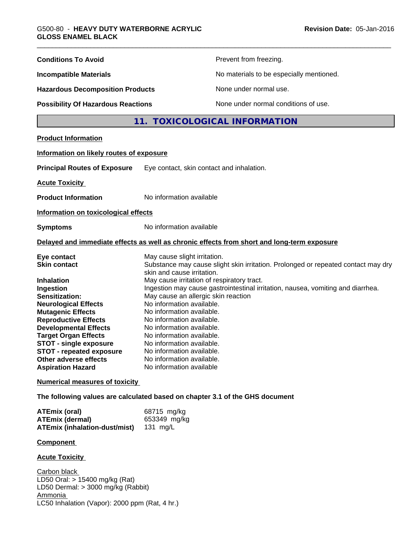| <b>Conditions To Avoid</b>                                                                                                                                                                                                                                                                                                                                               |                                                                                                                                                                                                                                                                                                                                                                                                                     | Prevent from freezing.                                                                                                                                               |  |
|--------------------------------------------------------------------------------------------------------------------------------------------------------------------------------------------------------------------------------------------------------------------------------------------------------------------------------------------------------------------------|---------------------------------------------------------------------------------------------------------------------------------------------------------------------------------------------------------------------------------------------------------------------------------------------------------------------------------------------------------------------------------------------------------------------|----------------------------------------------------------------------------------------------------------------------------------------------------------------------|--|
| <b>Incompatible Materials</b>                                                                                                                                                                                                                                                                                                                                            |                                                                                                                                                                                                                                                                                                                                                                                                                     | No materials to be especially mentioned.                                                                                                                             |  |
| <b>Hazardous Decomposition Products</b><br><b>Possibility Of Hazardous Reactions</b>                                                                                                                                                                                                                                                                                     |                                                                                                                                                                                                                                                                                                                                                                                                                     | None under normal use.                                                                                                                                               |  |
|                                                                                                                                                                                                                                                                                                                                                                          |                                                                                                                                                                                                                                                                                                                                                                                                                     | None under normal conditions of use.                                                                                                                                 |  |
|                                                                                                                                                                                                                                                                                                                                                                          |                                                                                                                                                                                                                                                                                                                                                                                                                     | 11. TOXICOLOGICAL INFORMATION                                                                                                                                        |  |
| <b>Product Information</b>                                                                                                                                                                                                                                                                                                                                               |                                                                                                                                                                                                                                                                                                                                                                                                                     |                                                                                                                                                                      |  |
| Information on likely routes of exposure                                                                                                                                                                                                                                                                                                                                 |                                                                                                                                                                                                                                                                                                                                                                                                                     |                                                                                                                                                                      |  |
| <b>Principal Routes of Exposure</b>                                                                                                                                                                                                                                                                                                                                      | Eye contact, skin contact and inhalation.                                                                                                                                                                                                                                                                                                                                                                           |                                                                                                                                                                      |  |
| <b>Acute Toxicity</b>                                                                                                                                                                                                                                                                                                                                                    |                                                                                                                                                                                                                                                                                                                                                                                                                     |                                                                                                                                                                      |  |
| <b>Product Information</b>                                                                                                                                                                                                                                                                                                                                               | No information available                                                                                                                                                                                                                                                                                                                                                                                            |                                                                                                                                                                      |  |
| Information on toxicological effects                                                                                                                                                                                                                                                                                                                                     |                                                                                                                                                                                                                                                                                                                                                                                                                     |                                                                                                                                                                      |  |
| <b>Symptoms</b>                                                                                                                                                                                                                                                                                                                                                          | No information available                                                                                                                                                                                                                                                                                                                                                                                            |                                                                                                                                                                      |  |
|                                                                                                                                                                                                                                                                                                                                                                          |                                                                                                                                                                                                                                                                                                                                                                                                                     | Delayed and immediate effects as well as chronic effects from short and long-term exposure                                                                           |  |
| Eye contact<br><b>Skin contact</b><br><b>Inhalation</b><br>Ingestion<br>Sensitization:<br><b>Neurological Effects</b><br><b>Mutagenic Effects</b><br><b>Reproductive Effects</b><br><b>Developmental Effects</b><br><b>Target Organ Effects</b><br><b>STOT - single exposure</b><br><b>STOT - repeated exposure</b><br>Other adverse effects<br><b>Aspiration Hazard</b> | May cause slight irritation.<br>skin and cause irritation.<br>May cause irritation of respiratory tract.<br>May cause an allergic skin reaction<br>No information available.<br>No information available.<br>No information available.<br>No information available.<br>No information available.<br>No information available.<br>No information available.<br>No information available.<br>No information available | Substance may cause slight skin irritation. Prolonged or repeated contact may dry<br>Ingestion may cause gastrointestinal irritation, nausea, vomiting and diarrhea. |  |
| <b>Numerical measures of toxicity</b>                                                                                                                                                                                                                                                                                                                                    |                                                                                                                                                                                                                                                                                                                                                                                                                     |                                                                                                                                                                      |  |
| The following values are calculated based on chapter 3.1 of the GHS document                                                                                                                                                                                                                                                                                             |                                                                                                                                                                                                                                                                                                                                                                                                                     |                                                                                                                                                                      |  |
| <b>ATEmix (oral)</b><br><b>ATEmix (dermal)</b><br><b>ATEmix (inhalation-dust/mist)</b>                                                                                                                                                                                                                                                                                   | 68715 mg/kg<br>653349 mg/kg<br>131 mg/L                                                                                                                                                                                                                                                                                                                                                                             |                                                                                                                                                                      |  |
| <b>Component</b>                                                                                                                                                                                                                                                                                                                                                         |                                                                                                                                                                                                                                                                                                                                                                                                                     |                                                                                                                                                                      |  |
| <b>Acute Toxicity</b>                                                                                                                                                                                                                                                                                                                                                    |                                                                                                                                                                                                                                                                                                                                                                                                                     |                                                                                                                                                                      |  |
| Carbon black<br>LD50 Oral: > 15400 mg/kg (Rat)<br>LD50 Dermal: > 3000 mg/kg (Rabbit)<br>Ammonia<br>LC50 Inhalation (Vapor): 2000 ppm (Rat, 4 hr.)                                                                                                                                                                                                                        |                                                                                                                                                                                                                                                                                                                                                                                                                     |                                                                                                                                                                      |  |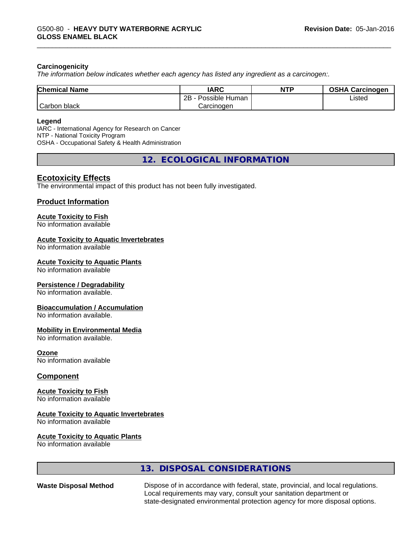#### **Carcinogenicity**

*The information below indicateswhether each agency has listed any ingredient as a carcinogen:.*

| <b>Chemical Name</b> | <b>IARC</b>          | <b>NTP</b> | <b>OSHA Carcinogen</b> |
|----------------------|----------------------|------------|------------------------|
|                      | 2B<br>Possible Human |            | Listed                 |
| Carbon<br>black      | Carcinogen           |            |                        |

#### **Legend**

IARC - International Agency for Research on Cancer NTP - National Toxicity Program OSHA - Occupational Safety & Health Administration

**12. ECOLOGICAL INFORMATION**

### **Ecotoxicity Effects**

The environmental impact of this product has not been fully investigated.

#### **Product Information**

#### **Acute Toxicity to Fish**

No information available

#### **Acute Toxicity to Aquatic Invertebrates**

No information available

#### **Acute Toxicity to Aquatic Plants**

No information available

#### **Persistence / Degradability**

No information available.

#### **Bioaccumulation / Accumulation**

No information available.

#### **Mobility in Environmental Media**

No information available.

**Ozone** No information available

#### **Component**

#### **Acute Toxicity to Fish**

No information available

#### **Acute Toxicity to Aquatic Invertebrates**

No information available

#### **Acute Toxicity to Aquatic Plants**

No information available

#### **13. DISPOSAL CONSIDERATIONS**

**Waste Disposal Method** Dispose of in accordance with federal, state, provincial, and local regulations. Local requirements may vary, consult your sanitation department or state-designated environmental protection agency for more disposal options.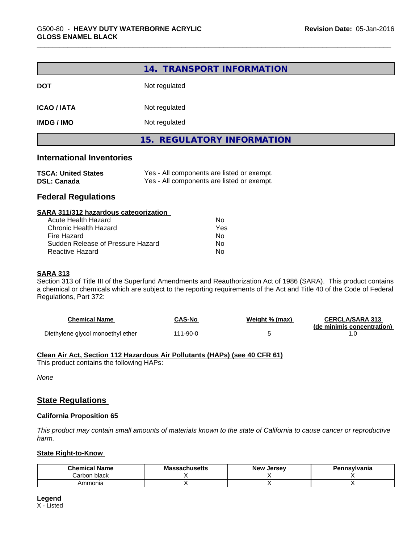|                                                             | 14. TRANSPORT INFORMATION                                                                |
|-------------------------------------------------------------|------------------------------------------------------------------------------------------|
| <b>DOT</b>                                                  | Not regulated                                                                            |
| <b>ICAO/IATA</b>                                            | Not regulated                                                                            |
| <b>IMDG / IMO</b>                                           | Not regulated                                                                            |
|                                                             | 15. REGULATORY INFORMATION                                                               |
| <b>International Inventories</b>                            |                                                                                          |
| <b>TSCA: United States</b><br><b>DSL: Canada</b>            | Yes - All components are listed or exempt.<br>Yes - All components are listed or exempt. |
| <b>Federal Regulations</b>                                  |                                                                                          |
| SARA 311/312 hazardous categorization                       |                                                                                          |
| <b>Acute Health Hazard</b>                                  | <b>No</b>                                                                                |
| <b>Chronic Health Hazard</b>                                | Yes                                                                                      |
|                                                             |                                                                                          |
| Fire Hazard                                                 | <b>No</b>                                                                                |
| Sudden Release of Pressure Hazard<br><b>Reactive Hazard</b> | No                                                                                       |

Section 313 of Title III of the Superfund Amendments and Reauthorization Act of 1986 (SARA). This product contains a chemical or chemicals which are subject to the reporting requirements of the Act and Title 40 of the Code of Federal Regulations, Part 372:

| <b>Chemical Name</b>              | <b>CAS-No</b> | Weight % (max) | <b>CERCLA/SARA 313</b>     |
|-----------------------------------|---------------|----------------|----------------------------|
|                                   |               |                | (de minimis concentration) |
| Diethylene glycol monoethyl ether | 111-90-0      |                |                            |

#### **Clean Air Act,Section 112 Hazardous Air Pollutants (HAPs) (see 40 CFR 61)**

This product contains the following HAPs:

*None*

#### **State Regulations**

#### **California Proposition 65**

This product may contain small amounts of materials known to the state of California to cause cancer or reproductive *harm.*

#### **State Right-to-Know**

| Chemical<br>Name   | <b>Massachusetts</b> | <b>Jersev</b><br>New | Pennsvlvania |
|--------------------|----------------------|----------------------|--------------|
| ⊧black<br>شcarbon. |                      |                      |              |
| Ammonia            |                      |                      |              |